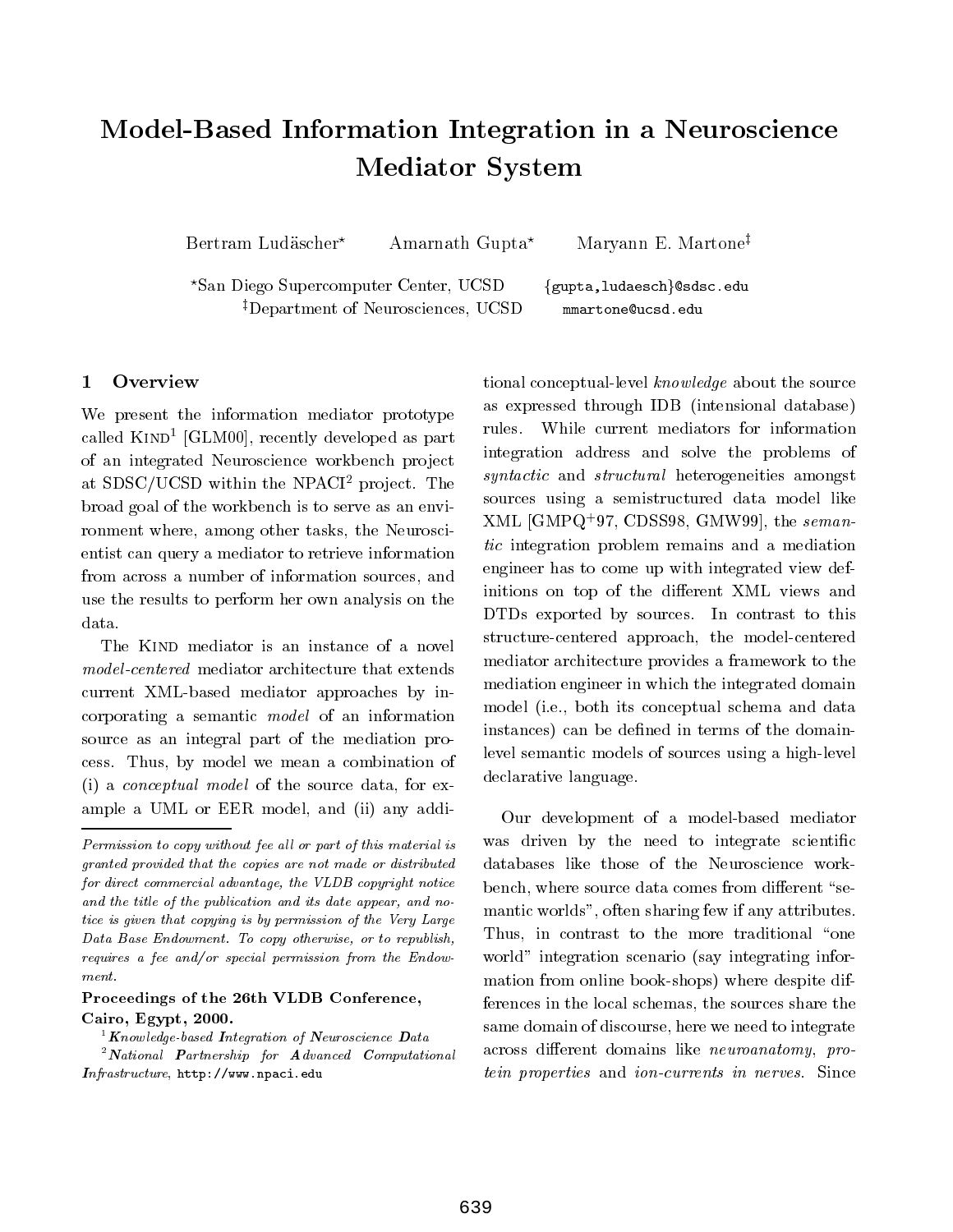# Model-Based Information Integration in <sup>a</sup> Neuroscience  $\blacksquare$  .  $\blacksquare$  .  $\blacksquare$  .  $\blacksquare$  .  $\blacksquare$  .  $\blacksquare$  .  $\blacksquare$  .  $\blacksquare$  .  $\blacksquare$  .  $\blacksquare$  .  $\blacksquare$  .  $\blacksquare$  .  $\blacksquare$  .  $\blacksquare$  .  $\blacksquare$  .  $\blacksquare$  .  $\blacksquare$  .  $\blacksquare$  .  $\blacksquare$  .  $\blacksquare$  .  $\blacksquare$  .  $\blacksquare$  .  $\blacksquare$  .  $\blacksquare$  .  $\blacksquare$

Bertram Ludäscher\* Amarnath Gupta\* Maryann E. Martone‡

\*San Diego Supercomputer Center, UCSD {gupta,ludaesch}@sdsc.edu <sup>‡</sup>Department of Neurosciences, UCSD mmartone@ucsd.edu

## <sup>1</sup> Overview

We present the information mediator prototype called Kind<sup>1</sup> [GLM00], recently developed as part of an integrated Neuroscience workbench project at  $SDSC/UCSD$  within the NPACI<sup>2</sup> project. The broad goal of the workbench is to serve as an environment where, among other tasks, the Neuroscientist can query a mediator to retrieve information from across a number of information sources, and use the results to perform her own analysis on the data.

The KIND mediator is an instance of a novel current XML-based mediator approaches by incorporating a semantic model of an information source as an integral part of the mediation process. Thus, by model we mean a combination of (i) a conceptual model of the source data, for example a UML or EER model, and (ii) any addi-

### $\bf{I}$  roceedings of the 20th VLDB Conference, Cairo, Egypt, 2000.

 $^1$  Knowledge-based Integration of Neuroscience Data

 $2$  National Partnership for Advanced Computational  $In firstructure$ ,  ${\tt http://www.npaci.edu}$ 

tional conceptual-level knowledge about the source as expressed through IDB (intensional database) rules. While current mediators for information integration address and solve the problems of syntactic and structural heterogeneities amongst sources using a semistructured data model like AML  $|\text{GMFQ}_+|$  97, CDSS98, GMW99. the semantic integration problem remains and a mediation engineer has to come up with integrated view definitions on top of the different XML views and DTDs exported by sources. In contrast to this structure-centered approach, the model-centered mediator architecture provides a framework to the mediation engineer in which the integrated domain model (i.e., both its conceptual schema and data instances) can be defined in terms of the domainlevel semantic models of sources using a high-level declarative language.

Our development of a model-based mediator was driven by the need to integrate scientific databases like those of the Neuroscience workbench, where source data comes from different "semantic worlds", often sharing few if any attributes. Thus, in contrast to the more traditional "one world" integration scenario (say integrating information from online book-shops) where despite differences in the local schemas, the sources share the same domain of discourse, here we need to integrate across different domains like *neuroanatomy*, protein properties and ion-currents in nerves. Since

Permission to copy without fee all or part of this material is granted provided that the copies are not made or distributed for direct commercial advantage, the VLDB copyright notice and the title of the publication and its date appear, and notice is given that copying is by permission of the Very Large Data Base Endowment. To copy otherwise, or to republish, requires a fee and/or special permission from the Endow $m$ ent.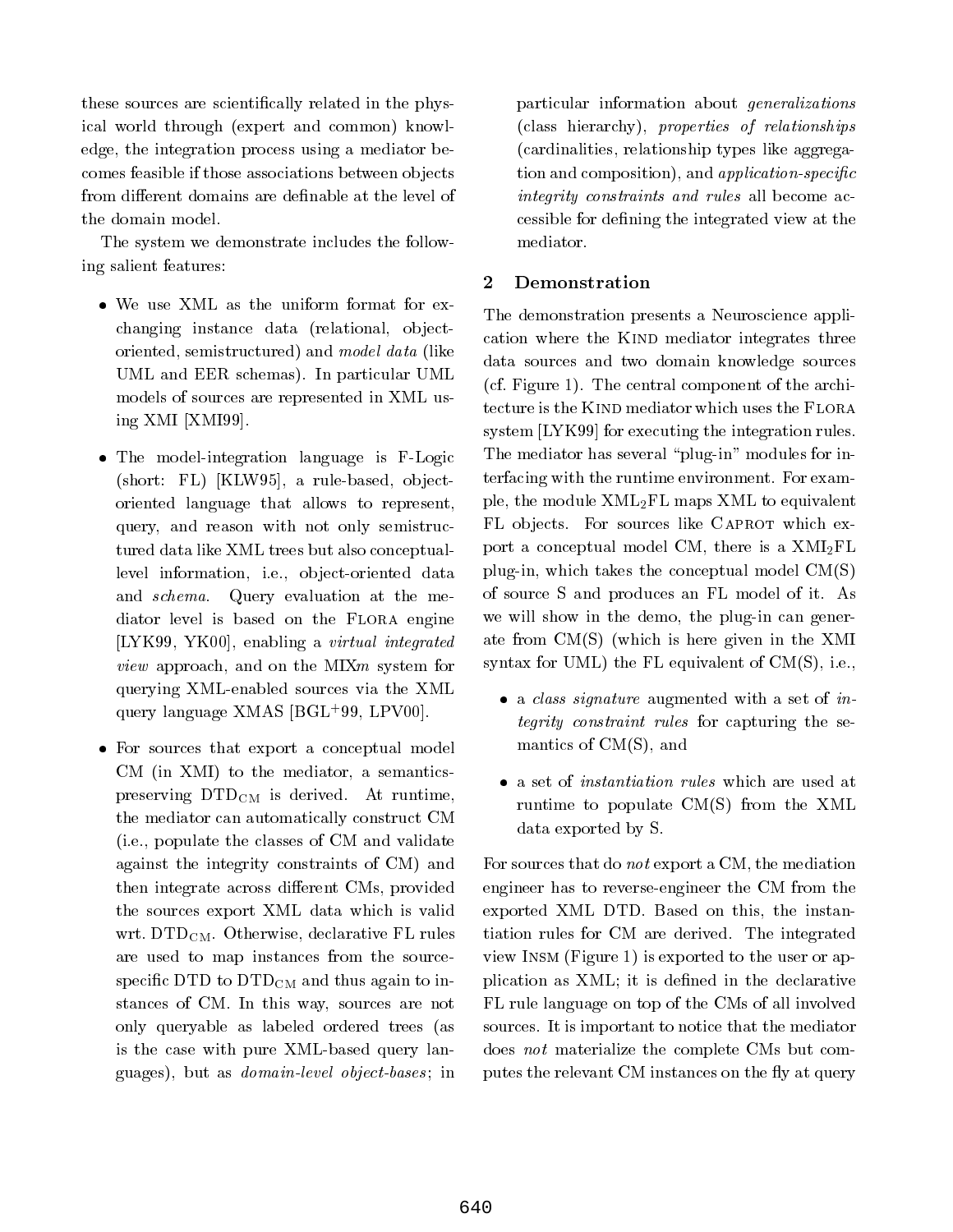these sources are scientifically related in the physical world through (expert and common) knowledge, the integration process using a mediator becomes feasible if those associations between ob jects from different domains are definable at the level of the domain model.

The system we demonstrate includes the following salient features:

- changing instance data (relational, objectoriented, semistructured) and model data (like UML and EER schemas). In particular UML models of sources are represented in XML using XMI [XMI99].
- The model-integration language is F-Logic  $(\text{short: FL})$   $[KLW95]$ , a rule-based, objectoriented language that allows to represent, query, and reason with not only semistructured data like XML trees but also conceptuallevel information, i.e., object-oriented data and schema. Query evaluation at the mediator level is based on the Flora engine [LYK99, YK00], enabling a virtual integrated view approach, and on the MIXM system for the MIX system for the MIX system of the MIX system for the MIX system for the MIX system of the MIX system of the MIX system of the MIX system of the MIX system of the MIX system querying XML-enabled sources via the XML query language XMAS [BGL+ 99, LPV00].
- For sources that export a conceptual model CM (in XMI) to the mediator, a semanticspreserving DTDCM is derived. At runtime, the mediator can automatically construct CM (i.e., populate the classes of CM and validate against the integrity constraints of CM) and then integrate across different CMs, provided the sources export XML data which is valid wrt. DTD<sub>CM</sub>. Otherwise, declarative FL rules are used to map instances from the sourcespecific DTD to  $\rm{DTD}_{\rm{CM}}$  and thus again to instances of CM. In this way, sources are not only queryable as labeled ordered trees (as is the case with pure XML-based query languages), but as *domain-level object-bases*; in

particular information about generalizations (class hierarchy), properties of relationships (cardinalities, relationship types like aggregation and composition), and *application-specific* integrity constraints and rules all become accessible for defining the integrated view at the mediator.

# <sup>2</sup> Demonstration

The demonstration presents a Neuroscience application where the KIND mediator integrates three data sources and two domain knowledge sources (cf. Figure 1). The central component of the architecture is the KIND mediator which uses the FLORA system [LYK99] for executing the integration rules. The mediator has several "plug-in" modules for interfacing with the runtime environment. For example, the module XML2FL maps XML to equivalent FL objects. For sources like CAPROT which export a conceptual model CM, there is a  $XMI<sub>2</sub>FL$ plug-in, which takes the conceptual model CM(S) of source S and produces an FL model of it. As we will show in the demo, the plug-in can generate from  $CM(S)$  (which is here given in the XMI syntax for UML) the FL equivalent of CM(S), i.e.,

- a class signature august the with a set of integrity constraint rules for capturing the semantics of CM(S), and
- runtime to populate CM(S) from the XML data exported by S.

For sources that do not export a CM, the mediation engineer has to reverse-engineer the CM from the exported XML DTD. Based on this, the instantiation rules for CM are derived. The integrated view Insm (Figure 1) is exported to the user or application as XML; it is defined in the declarative FL rule language on top of the CMs of all involved sources. It is important to notice that the mediator does not materialize the complete CMs but computes the relevant CM instances on the fly at query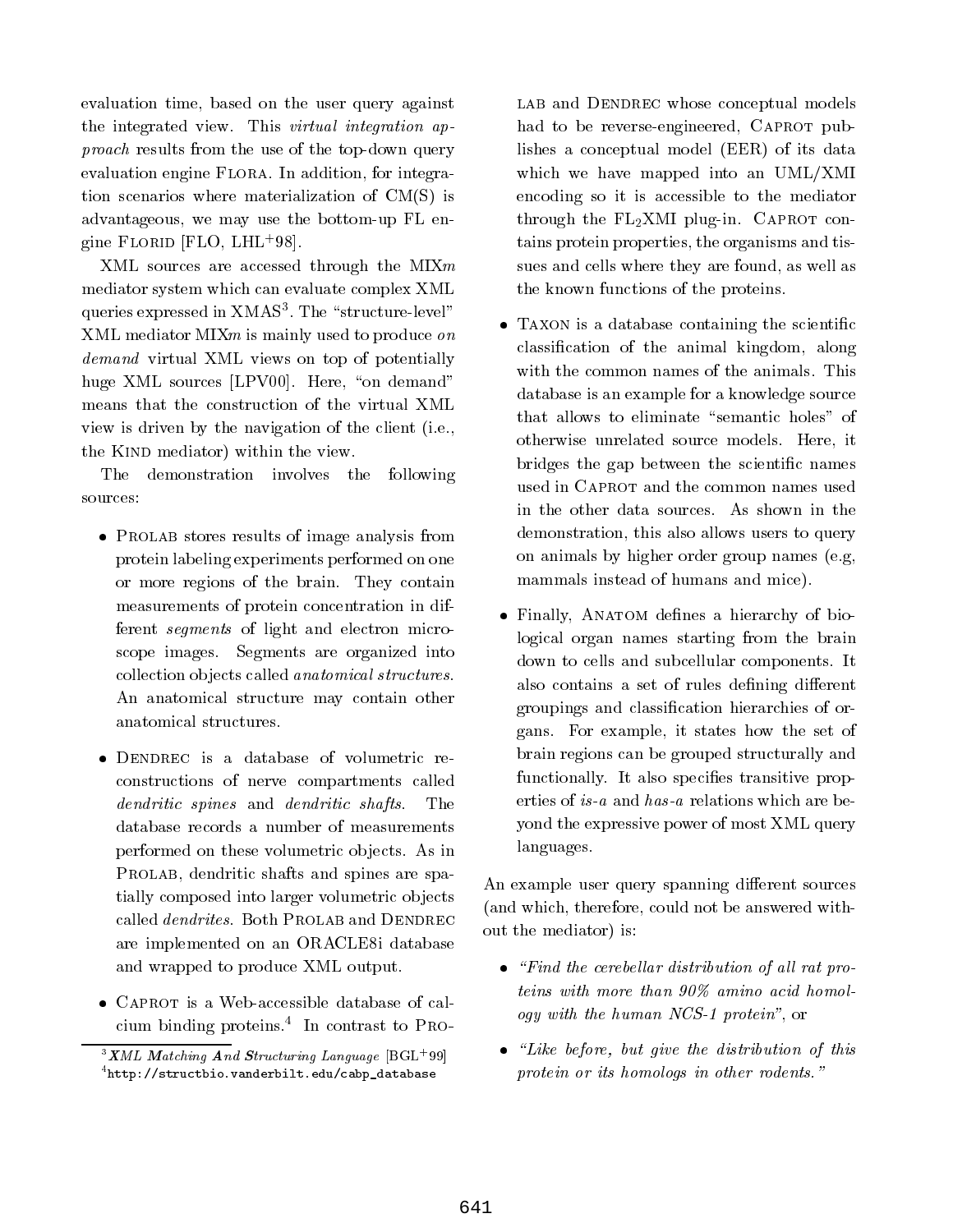evaluation time, based on the user query against the integrated view. This virtual integration approach results from the use of the top-down query evaluation engine FLORA. In addition, for integration scenarios where materialization of CM(S) is advantageous, we may use the bottom-up FL engine Florid [FLO, LHL+ 98].

XML sources are accessed through the MIXm mediator system which can evaluate complex XML queries expressed in  $\Lambda$ MAS<sup>-</sup>. The  $\,$  structure-level  $\,$ XML mediator MIXm is mainly used to produce on demand virtual virtual interests on the order of potentially and positions of potential and potentially are assumed to the contract of the contract of the contract of the contract of the contract of the contract of the con huge XML sources  $[LPV00]$ . Here, "on demand" means that the construction of the virtual XML view is driven by the navigation of the client (i.e., the KIND mediator) within the view.

The demonstration involves the following sources:

- Prolab stores results of image analysis from protein labeling experiments performed on one or more regions of the brain. They contain measurements of protein concentration in different segments of light and electron microscope images. Segments are organized into collection objects called *anatomical structures*. An anatomical structure may contain other anatomical structures.
- constructions of nerve compartments called dendrities spines and denote and denote shape and denote database records a number of measurements performed on these volumetric objects. As in PROLAB, dendritic shafts and spines are spatially composed into larger volumetric objects called *dendrites*. Both PROLAB and DENDREC are implemented on an ORACLE8i database and wrapped to produce XML output.
- cium binding proteins.4 In contrast to Pro-

LAB and DENDREC whose conceptual models had to be reverse-engineered, CAPROT publishes a conceptual model (EER) of its data which we have mapped into an UML/XMI encoding so it is accessible to the mediator through the  $FL_2XML$  plug-in. CAPROT contains protein properties, the organisms and tissues and cells where they are found, as well as the known functions of the proteins.

- Taxon is a database containing the scientic classication of the animal kingdom, along with the common names of the animals. This database is an example for a knowledge source that allows to eliminate "semantic holes" of otherwise unrelated source models. Here, it bridges the gap between the scientic names used in Caprot and the common names used in the other data sources. As shown in the demonstration, this also allows users to query on animals by higher order group names (e.g, mammals instead of humans and mice).
- Finally, Anatom denes a hierarchy of biological organ names starting from the brain down to cells and subcellular components. It also contains a set of rules defining different groupings and classication hierarchies of organs. For example, it states how the set of brain regions can be grouped structurally and functionally. It also specifies transitive properties of is-a and has-a relations which are beyond the expressive power of most XML query languages.

An example user query spanning different sources (and which, therefore, could not be answered without the mediator) is:

- $\bullet$  . Find the cerebellar distribution of all lat proteins with more than 90% amino acid homology with the human NCS-1 protein", or
- $\ldots$  but a distribution of the distribution of this this this this this this think of this think of this think of this think of the distribution of the distribution of the distribution of the distribution of the distribu  $p$ rotent or the homologs in other rodents.  $\blacksquare$

 $\boldsymbol{\Lambda}$ ML Matching And Structuring Language  $|\text{BGL}|\text{39}|$  $4$ http://structbio.vanderbilt.edu/cabp\_database